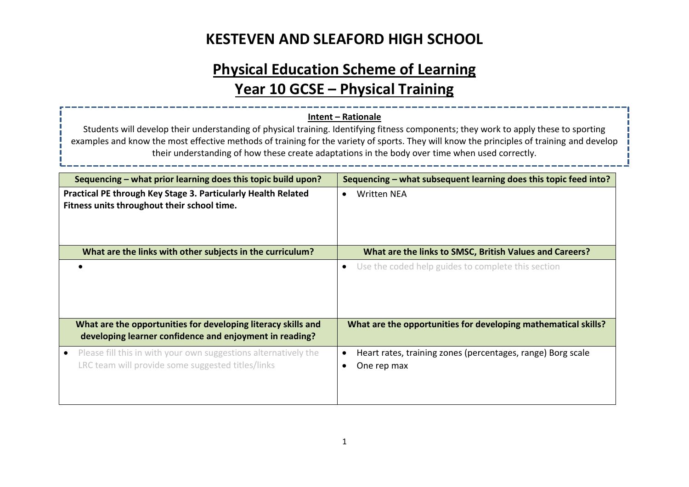# **Physical Education Scheme of Learning Year 10 GCSE – Physical Training**

#### **Intent – Rationale**

Students will develop their understanding of physical training. Identifying fitness components; they work to apply these to sporting examples and know the most effective methods of training for the variety of sports. They will know the principles of training and develop their understanding of how these create adaptations in the body over time when used correctly.

| Sequencing – what prior learning does this topic build upon?                                                             | Sequencing – what subsequent learning does this topic feed into?           |
|--------------------------------------------------------------------------------------------------------------------------|----------------------------------------------------------------------------|
| Practical PE through Key Stage 3. Particularly Health Related<br>Fitness units throughout their school time.             | Written NEA<br>$\bullet$                                                   |
| What are the links with other subjects in the curriculum?                                                                | What are the links to SMSC, British Values and Careers?                    |
|                                                                                                                          | Use the coded help guides to complete this section<br>$\bullet$            |
| What are the opportunities for developing literacy skills and<br>developing learner confidence and enjoyment in reading? | What are the opportunities for developing mathematical skills?             |
| Please fill this in with your own suggestions alternatively the<br>LRC team will provide some suggested titles/links     | Heart rates, training zones (percentages, range) Borg scale<br>One rep max |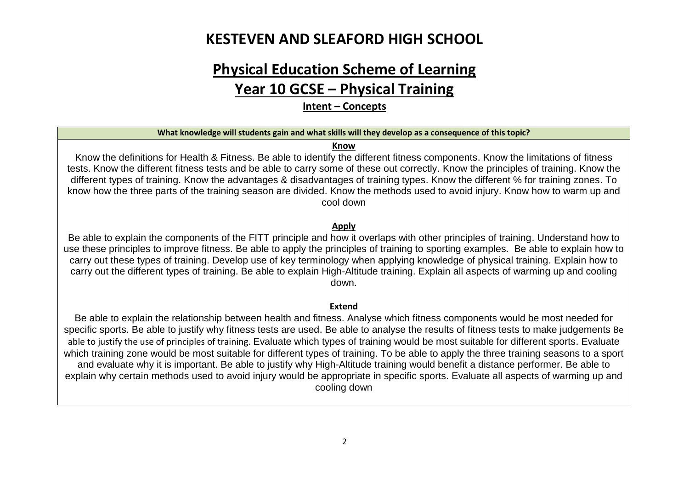# **Physical Education Scheme of Learning**

### **Year 10 GCSE – Physical Training**

**Intent – Concepts**

#### **What knowledge will students gain and what skills will they develop as a consequence of this topic?**

#### **Know**

Know the definitions for Health & Fitness. Be able to identify the different fitness components. Know the limitations of fitness tests. Know the different fitness tests and be able to carry some of these out correctly. Know the principles of training. Know the different types of training. Know the advantages & disadvantages of training types. Know the different % for training zones. To know how the three parts of the training season are divided. Know the methods used to avoid injury. Know how to warm up and cool down

#### **Apply**

Be able to explain the components of the FITT principle and how it overlaps with other principles of training. Understand how to use these principles to improve fitness. Be able to apply the principles of training to sporting examples. Be able to explain how to carry out these types of training. Develop use of key terminology when applying knowledge of physical training. Explain how to carry out the different types of training. Be able to explain High-Altitude training. Explain all aspects of warming up and cooling down.

#### **Extend**

Be able to explain the relationship between health and fitness. Analyse which fitness components would be most needed for specific sports. Be able to justify why fitness tests are used. Be able to analyse the results of fitness tests to make judgements Be able to justify the use of principles of training. Evaluate which types of training would be most suitable for different sports. Evaluate which training zone would be most suitable for different types of training. To be able to apply the three training seasons to a sport and evaluate why it is important. Be able to justify why High-Altitude training would benefit a distance performer. Be able to explain why certain methods used to avoid injury would be appropriate in specific sports. Evaluate all aspects of warming up and cooling down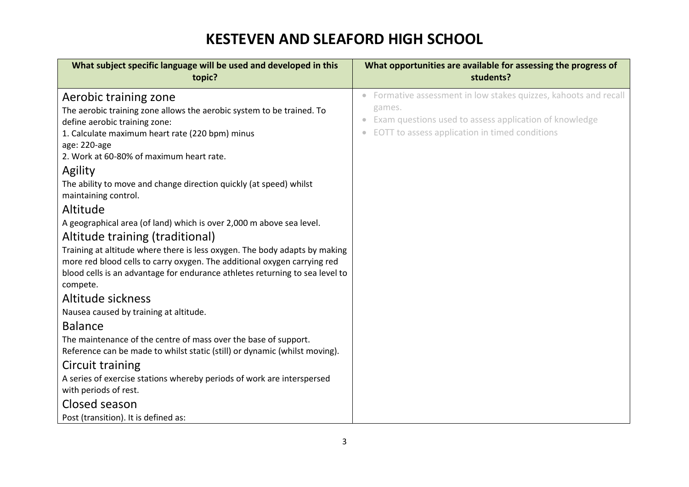| What subject specific language will be used and developed in this<br>topic?                                                                                                                                                                                                                                                                                                                                                                                                                                                                                                                                                                                                                                                          | What opportunities are available for assessing the progress of<br>students?                                                                                                          |
|--------------------------------------------------------------------------------------------------------------------------------------------------------------------------------------------------------------------------------------------------------------------------------------------------------------------------------------------------------------------------------------------------------------------------------------------------------------------------------------------------------------------------------------------------------------------------------------------------------------------------------------------------------------------------------------------------------------------------------------|--------------------------------------------------------------------------------------------------------------------------------------------------------------------------------------|
| Aerobic training zone<br>The aerobic training zone allows the aerobic system to be trained. To<br>define aerobic training zone:<br>1. Calculate maximum heart rate (220 bpm) minus<br>age: 220-age<br>2. Work at 60-80% of maximum heart rate.<br>Agility<br>The ability to move and change direction quickly (at speed) whilst<br>maintaining control.<br>Altitude<br>A geographical area (of land) which is over 2,000 m above sea level.<br>Altitude training (traditional)<br>Training at altitude where there is less oxygen. The body adapts by making<br>more red blood cells to carry oxygen. The additional oxygen carrying red<br>blood cells is an advantage for endurance athletes returning to sea level to<br>compete. | Formative assessment in low stakes quizzes, kahoots and recall<br>games.<br>Exam questions used to assess application of knowledge<br>EOTT to assess application in timed conditions |
| Altitude sickness<br>Nausea caused by training at altitude.                                                                                                                                                                                                                                                                                                                                                                                                                                                                                                                                                                                                                                                                          |                                                                                                                                                                                      |
| <b>Balance</b><br>The maintenance of the centre of mass over the base of support.<br>Reference can be made to whilst static (still) or dynamic (whilst moving).<br>Circuit training<br>A series of exercise stations whereby periods of work are interspersed<br>with periods of rest.<br>Closed season<br>Post (transition). It is defined as:                                                                                                                                                                                                                                                                                                                                                                                      |                                                                                                                                                                                      |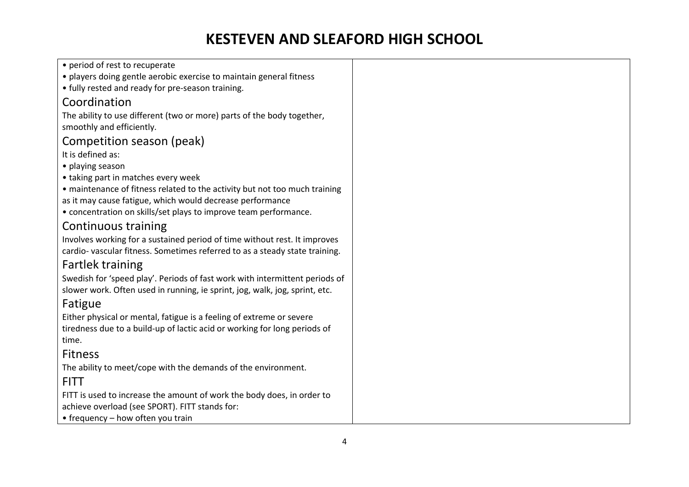| • period of rest to recuperate                                              |
|-----------------------------------------------------------------------------|
| · players doing gentle aerobic exercise to maintain general fitness         |
| • fully rested and ready for pre-season training.                           |
| Coordination                                                                |
| The ability to use different (two or more) parts of the body together,      |
| smoothly and efficiently.                                                   |
| Competition season (peak)                                                   |
| It is defined as:                                                           |
| • playing season                                                            |
| • taking part in matches every week                                         |
| • maintenance of fitness related to the activity but not too much training  |
| as it may cause fatigue, which would decrease performance                   |
| • concentration on skills/set plays to improve team performance.            |
| Continuous training                                                         |
| Involves working for a sustained period of time without rest. It improves   |
| cardio-vascular fitness. Sometimes referred to as a steady state training.  |
| <b>Fartlek training</b>                                                     |
| Swedish for 'speed play'. Periods of fast work with intermittent periods of |
| slower work. Often used in running, ie sprint, jog, walk, jog, sprint, etc. |
| Fatigue                                                                     |
| Either physical or mental, fatigue is a feeling of extreme or severe        |
| tiredness due to a build-up of lactic acid or working for long periods of   |
| time.                                                                       |
| <b>Fitness</b>                                                              |
| The ability to meet/cope with the demands of the environment.               |
| <b>FITT</b>                                                                 |
| FITT is used to increase the amount of work the body does, in order to      |
| achieve overload (see SPORT). FITT stands for:                              |
| • frequency - how often you train                                           |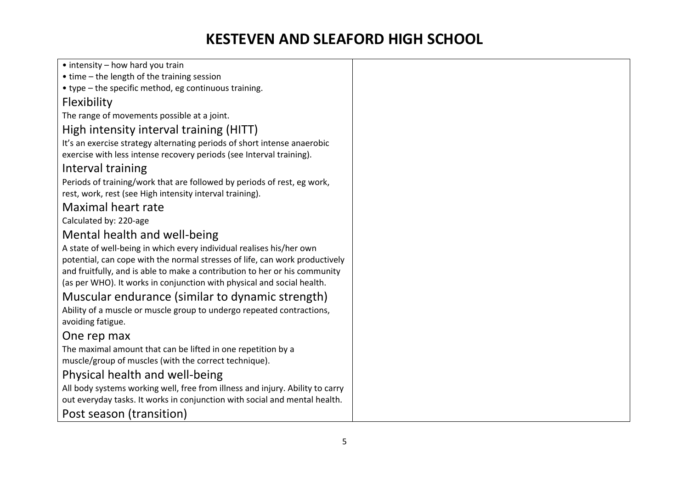| $\bullet$ intensity – how hard you train                                                                                                                                                                                                                                                                    |
|-------------------------------------------------------------------------------------------------------------------------------------------------------------------------------------------------------------------------------------------------------------------------------------------------------------|
| • time - the length of the training session                                                                                                                                                                                                                                                                 |
| • type - the specific method, eg continuous training.                                                                                                                                                                                                                                                       |
| Flexibility                                                                                                                                                                                                                                                                                                 |
| The range of movements possible at a joint.                                                                                                                                                                                                                                                                 |
| High intensity interval training (HITT)                                                                                                                                                                                                                                                                     |
| It's an exercise strategy alternating periods of short intense anaerobic                                                                                                                                                                                                                                    |
| exercise with less intense recovery periods (see Interval training).                                                                                                                                                                                                                                        |
| Interval training                                                                                                                                                                                                                                                                                           |
| Periods of training/work that are followed by periods of rest, eg work,<br>rest, work, rest (see High intensity interval training).                                                                                                                                                                         |
| Maximal heart rate                                                                                                                                                                                                                                                                                          |
| Calculated by: 220-age                                                                                                                                                                                                                                                                                      |
| Mental health and well-being                                                                                                                                                                                                                                                                                |
| A state of well-being in which every individual realises his/her own<br>potential, can cope with the normal stresses of life, can work productively<br>and fruitfully, and is able to make a contribution to her or his community<br>(as per WHO). It works in conjunction with physical and social health. |
| Muscular endurance (similar to dynamic strength)                                                                                                                                                                                                                                                            |
| Ability of a muscle or muscle group to undergo repeated contractions,<br>avoiding fatigue.                                                                                                                                                                                                                  |
| One rep max                                                                                                                                                                                                                                                                                                 |
| The maximal amount that can be lifted in one repetition by a<br>muscle/group of muscles (with the correct technique).                                                                                                                                                                                       |
| Physical health and well-being                                                                                                                                                                                                                                                                              |
| All body systems working well, free from illness and injury. Ability to carry                                                                                                                                                                                                                               |
| out everyday tasks. It works in conjunction with social and mental health.                                                                                                                                                                                                                                  |
| Post season (transition)                                                                                                                                                                                                                                                                                    |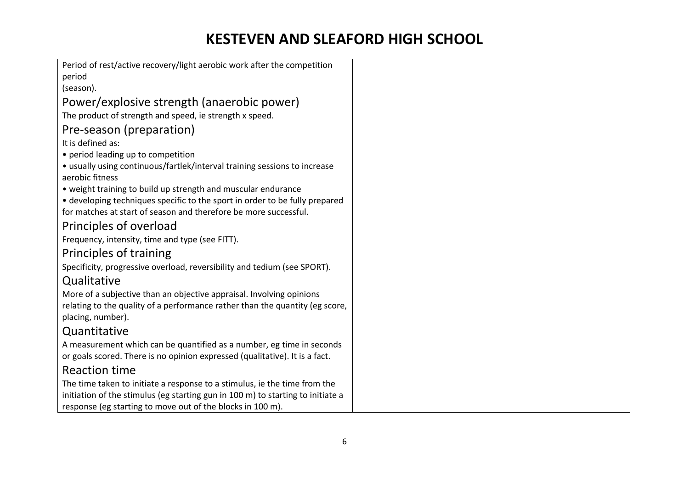| Period of rest/active recovery/light aerobic work after the competition                           |
|---------------------------------------------------------------------------------------------------|
| period                                                                                            |
| (season).                                                                                         |
| Power/explosive strength (anaerobic power)                                                        |
| The product of strength and speed, ie strength x speed.                                           |
| Pre-season (preparation)                                                                          |
| It is defined as:                                                                                 |
| • period leading up to competition                                                                |
| • usually using continuous/fartlek/interval training sessions to increase<br>aerobic fitness      |
| • weight training to build up strength and muscular endurance                                     |
| • developing techniques specific to the sport in order to be fully prepared                       |
| for matches at start of season and therefore be more successful.                                  |
| Principles of overload                                                                            |
| Frequency, intensity, time and type (see FITT).                                                   |
| Principles of training                                                                            |
| Specificity, progressive overload, reversibility and tedium (see SPORT).                          |
| Qualitative                                                                                       |
| More of a subjective than an objective appraisal. Involving opinions                              |
| relating to the quality of a performance rather than the quantity (eg score,<br>placing, number). |
| Quantitative                                                                                      |
| A measurement which can be quantified as a number, eg time in seconds                             |
| or goals scored. There is no opinion expressed (qualitative). It is a fact.                       |
| <b>Reaction time</b>                                                                              |
| The time taken to initiate a response to a stimulus, ie the time from the                         |
| initiation of the stimulus (eg starting gun in 100 m) to starting to initiate a                   |
| response (eg starting to move out of the blocks in 100 m).                                        |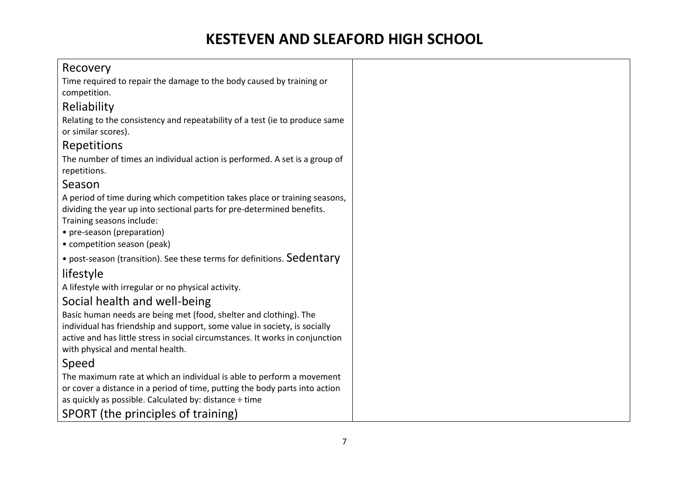#### Recovery

Time required to repair the damage to the body caused by training or competition.

#### Reliability

Relating to the consistency and repeatability of a test (ie to produce same or similar scores).

#### Repetitions

The number of times an individual action is performed. A set is a group of repetitions.

#### Season

A period of time during which competition takes place or training seasons, dividing the year up into sectional parts for pre-determined benefits. Training seasons include:

• pre-season (preparation)

• competition season (peak)

• post-season (transition). See these terms for definitions. Sedentary

### lifestyle

A lifestyle with irregular or no physical activity.

#### Social health and well-being

Basic human needs are being met (food, shelter and clothing). The individual has friendship and support, some value in society, is socially active and has little stress in social circumstances. It works in conjunction with physical and mental health.

#### Speed

The maximum rate at which an individual is able to perform a movement or cover a distance in a period of time, putting the body parts into action as quickly as possible. Calculated by: distance ÷ time SPORT (the principles of training)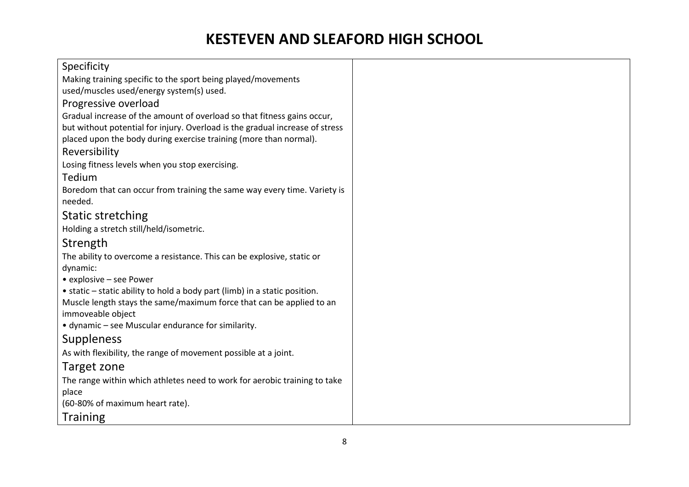| Specificity                                                                         |  |
|-------------------------------------------------------------------------------------|--|
| Making training specific to the sport being played/movements                        |  |
| used/muscles used/energy system(s) used.                                            |  |
| Progressive overload                                                                |  |
| Gradual increase of the amount of overload so that fitness gains occur,             |  |
| but without potential for injury. Overload is the gradual increase of stress        |  |
| placed upon the body during exercise training (more than normal).                   |  |
| Reversibility                                                                       |  |
| Losing fitness levels when you stop exercising.                                     |  |
| Tedium                                                                              |  |
| Boredom that can occur from training the same way every time. Variety is<br>needed. |  |
| <b>Static stretching</b>                                                            |  |
| Holding a stretch still/held/isometric.                                             |  |
| Strength                                                                            |  |
| The ability to overcome a resistance. This can be explosive, static or              |  |
| dynamic:                                                                            |  |
| • explosive - see Power                                                             |  |
| • static – static ability to hold a body part (limb) in a static position.          |  |
| Muscle length stays the same/maximum force that can be applied to an                |  |
| immoveable object                                                                   |  |
| • dynamic - see Muscular endurance for similarity.                                  |  |
| <b>Suppleness</b>                                                                   |  |
| As with flexibility, the range of movement possible at a joint.                     |  |
| Target zone                                                                         |  |
| The range within which athletes need to work for aerobic training to take           |  |
| place                                                                               |  |
| (60-80% of maximum heart rate).                                                     |  |
| <b>Training</b>                                                                     |  |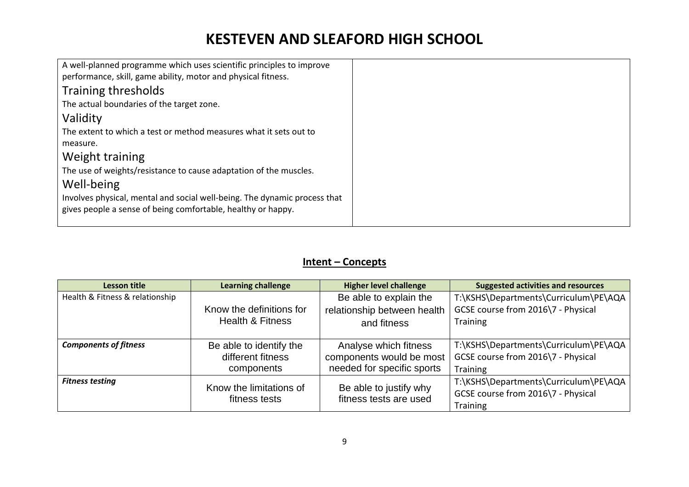| A well-planned programme which uses scientific principles to improve<br>performance, skill, game ability, motor and physical fitness.     |  |
|-------------------------------------------------------------------------------------------------------------------------------------------|--|
| Training thresholds                                                                                                                       |  |
| The actual boundaries of the target zone.                                                                                                 |  |
| Validity                                                                                                                                  |  |
| The extent to which a test or method measures what it sets out to                                                                         |  |
| measure.                                                                                                                                  |  |
| Weight training                                                                                                                           |  |
| The use of weights/resistance to cause adaptation of the muscles.                                                                         |  |
| Well-being                                                                                                                                |  |
| Involves physical, mental and social well-being. The dynamic process that<br>gives people a sense of being comfortable, healthy or happy. |  |
|                                                                                                                                           |  |

#### **Intent – Concepts**

| Lesson title                    | <b>Learning challenge</b>                                  | <b>Higher level challenge</b>                                                   | <b>Suggested activities and resources</b>                                                      |
|---------------------------------|------------------------------------------------------------|---------------------------------------------------------------------------------|------------------------------------------------------------------------------------------------|
| Health & Fitness & relationship |                                                            | Be able to explain the                                                          | T:\KSHS\Departments\Curriculum\PE\AQA                                                          |
|                                 | Know the definitions for                                   | relationship between health                                                     | GCSE course from 2016\7 - Physical                                                             |
|                                 | <b>Health &amp; Fitness</b>                                | and fitness                                                                     | Training                                                                                       |
| <b>Components of fitness</b>    | Be able to identify the<br>different fitness<br>components | Analyse which fitness<br>components would be most<br>needed for specific sports | T:\KSHS\Departments\Curriculum\PE\AQA<br>GCSE course from 2016\7 - Physical<br><b>Training</b> |
| <b>Fitness testing</b>          | Know the limitations of<br>fitness tests                   | Be able to justify why<br>fitness tests are used                                | T:\KSHS\Departments\Curriculum\PE\AQA<br>GCSE course from 2016\7 - Physical<br><b>Training</b> |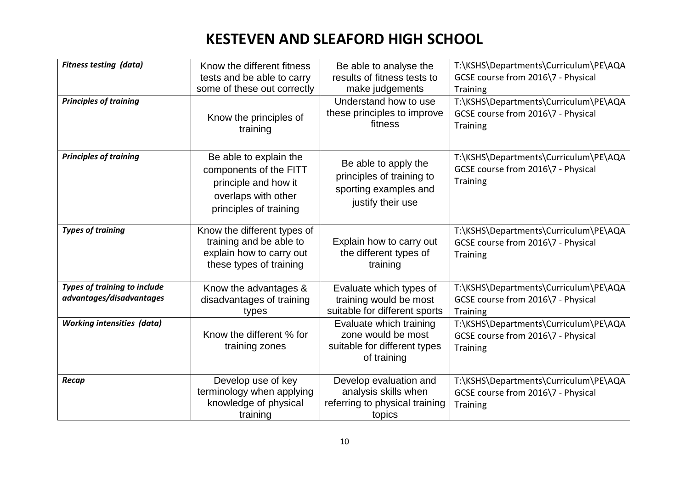| <b>Fitness testing (data)</b><br><b>Principles of training</b>  | Know the different fitness<br>tests and be able to carry<br>some of these out correctly<br>Know the principles of<br>training | Be able to analyse the<br>results of fitness tests to<br>make judgements<br>Understand how to use<br>these principles to improve<br>fitness | T:\KSHS\Departments\Curriculum\PE\AQA<br>GCSE course from 2016\7 - Physical<br><b>Training</b><br>T:\KSHS\Departments\Curriculum\PE\AQA<br>GCSE course from 2016\7 - Physical<br><b>Training</b> |
|-----------------------------------------------------------------|-------------------------------------------------------------------------------------------------------------------------------|---------------------------------------------------------------------------------------------------------------------------------------------|--------------------------------------------------------------------------------------------------------------------------------------------------------------------------------------------------|
| <b>Principles of training</b>                                   | Be able to explain the<br>components of the FITT<br>principle and how it<br>overlaps with other<br>principles of training     | Be able to apply the<br>principles of training to<br>sporting examples and<br>justify their use                                             | T:\KSHS\Departments\Curriculum\PE\AQA<br>GCSE course from 2016\7 - Physical<br><b>Training</b>                                                                                                   |
| <b>Types of training</b>                                        | Know the different types of<br>training and be able to<br>explain how to carry out<br>these types of training                 | Explain how to carry out<br>the different types of<br>training                                                                              | T:\KSHS\Departments\Curriculum\PE\AQA<br>GCSE course from 2016\7 - Physical<br><b>Training</b>                                                                                                   |
| <b>Types of training to include</b><br>advantages/disadvantages | Know the advantages &<br>disadvantages of training<br>types                                                                   | Evaluate which types of<br>training would be most<br>suitable for different sports                                                          | T:\KSHS\Departments\Curriculum\PE\AQA<br>GCSE course from 2016\7 - Physical<br><b>Training</b>                                                                                                   |
| <b>Working intensities (data)</b>                               | Know the different % for<br>training zones                                                                                    | Evaluate which training<br>zone would be most<br>suitable for different types<br>of training                                                | T:\KSHS\Departments\Curriculum\PE\AQA<br>GCSE course from 2016\7 - Physical<br><b>Training</b>                                                                                                   |
| Recap                                                           | Develop use of key<br>terminology when applying<br>knowledge of physical<br>training                                          | Develop evaluation and<br>analysis skills when<br>referring to physical training<br>topics                                                  | T:\KSHS\Departments\Curriculum\PE\AQA<br>GCSE course from 2016\7 - Physical<br><b>Training</b>                                                                                                   |